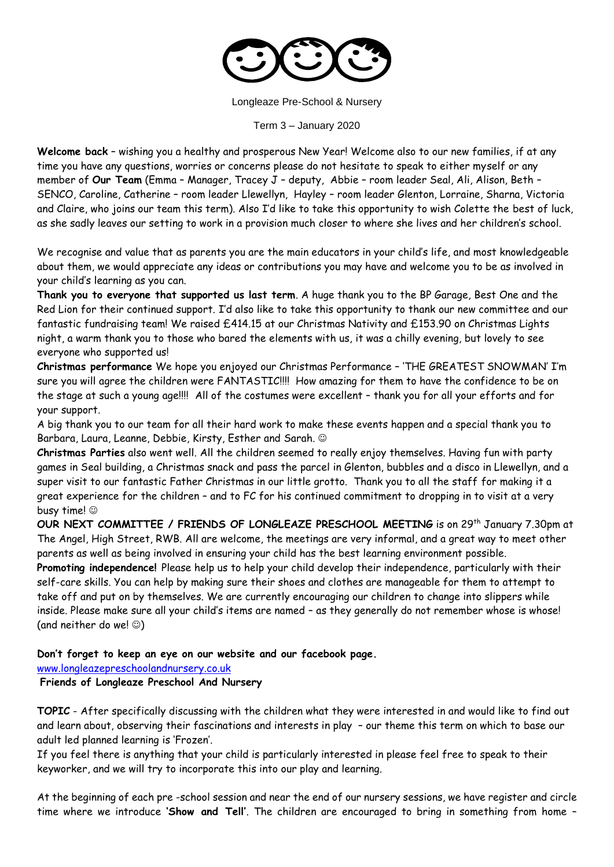

Longleaze Pre-School & Nursery

Term 3 – January 2020

**Welcome back** – wishing you a healthy and prosperous New Year! Welcome also to our new families, if at any time you have any questions, worries or concerns please do not hesitate to speak to either myself or any member of **Our Team** (Emma – Manager, Tracey J – deputy, Abbie – room leader Seal, Ali, Alison, Beth – SENCO, Caroline, Catherine – room leader Llewellyn, Hayley – room leader Glenton, Lorraine, Sharna, Victoria and Claire, who joins our team this term). Also I'd like to take this opportunity to wish Colette the best of luck, as she sadly leaves our setting to work in a provision much closer to where she lives and her children's school.

We recognise and value that as parents you are the main educators in your child's life, and most knowledgeable about them, we would appreciate any ideas or contributions you may have and welcome you to be as involved in your child's learning as you can.

**Thank you to everyone that supported us last term**. A huge thank you to the BP Garage, Best One and the Red Lion for their continued support. I'd also like to take this opportunity to thank our new committee and our fantastic fundraising team! We raised £414.15 at our Christmas Nativity and £153.90 on Christmas Lights night, a warm thank you to those who bared the elements with us, it was a chilly evening, but lovely to see everyone who supported us!

**Christmas performance** We hope you enjoyed our Christmas Performance – 'THE GREATEST SNOWMAN' I'm sure you will agree the children were FANTASTIC!!!! How amazing for them to have the confidence to be on the stage at such a young age!!!! All of the costumes were excellent – thank you for all your efforts and for your support.

A big thank you to our team for all their hard work to make these events happen and a special thank you to Barbara, Laura, Leanne, Debbie, Kirsty, Esther and Sarah. ©

**Christmas Parties** also went well. All the children seemed to really enjoy themselves. Having fun with party games in Seal building, a Christmas snack and pass the parcel in Glenton, bubbles and a disco in Llewellyn, and a super visit to our fantastic Father Christmas in our little grotto. Thank you to all the staff for making it a great experience for the children – and to FC for his continued commitment to dropping in to visit at a very busy time! ☺

**OUR NEXT COMMITTEE / FRIENDS OF LONGLEAZE PRESCHOOL MEETING** is on 29th January 7.30pm at The Angel, High Street, RWB. All are welcome, the meetings are very informal, and a great way to meet other parents as well as being involved in ensuring your child has the best learning environment possible.

**Promoting independence!** Please help us to help your child develop their independence, particularly with their self-care skills. You can help by making sure their shoes and clothes are manageable for them to attempt to take off and put on by themselves. We are currently encouraging our children to change into slippers while inside. Please make sure all your child's items are named – as they generally do not remember whose is whose! (and neither do we! ☺)

#### **Don't forget to keep an eye on our website and our facebook page.**

[www.longleazepreschoolandnursery.co.uk](http://www.longleazepreschoolandnursery.co.uk/) 

#### **Friends of [Longleaze](file:///C:/longleaze) Preschool And Nursery**

**TOPIC** - After specifically discussing with the children what they were interested in and would like to find out and learn about, observing their fascinations and interests in play – our theme this term on which to base our adult led planned learning is 'Frozen'.

If you feel there is anything that your child is particularly interested in please feel free to speak to their keyworker, and we will try to incorporate this into our play and learning.

At the beginning of each pre -school session and near the end of our nursery sessions, we have register and circle time where we introduce **'Show and Tell'**. The children are encouraged to bring in something from home –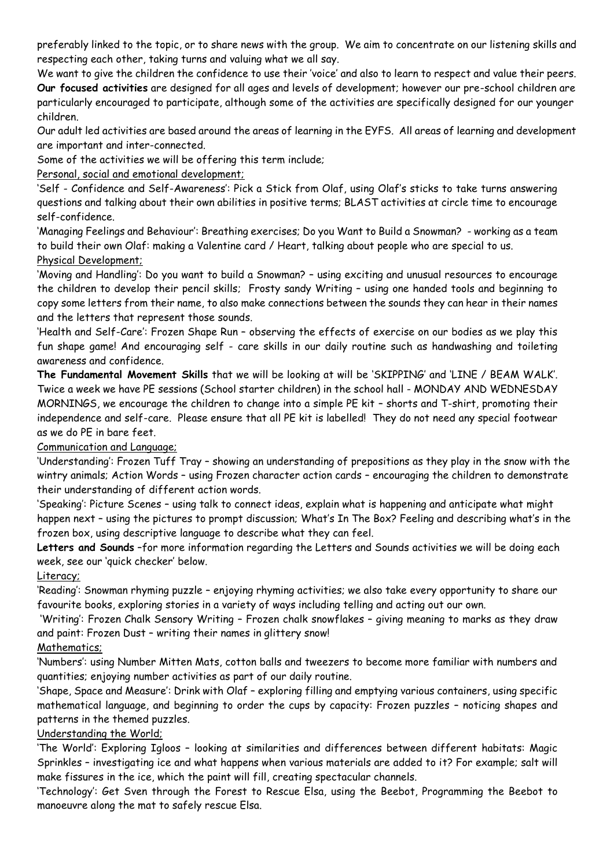preferably linked to the topic, or to share news with the group. We aim to concentrate on our listening skills and respecting each other, taking turns and valuing what we all say.

We want to give the children the confidence to use their 'voice' and also to learn to respect and value their peers. **Our focused activities** are designed for all ages and levels of development; however our pre-school children are particularly encouraged to participate, although some of the activities are specifically designed for our younger children.

Our adult led activities are based around the areas of learning in the EYFS. All areas of learning and development are important and inter-connected.

Some of the activities we will be offering this term include;

Personal, social and emotional development;

'Self - Confidence and Self-Awareness': Pick a Stick from Olaf, using Olaf's sticks to take turns answering questions and talking about their own abilities in positive terms; BLAST activities at circle time to encourage self-confidence.

'Managing Feelings and Behaviour': Breathing exercises; Do you Want to Build a Snowman? - working as a team to build their own Olaf: making a Valentine card / Heart, talking about people who are special to us. Physical Development;

'Moving and Handling': Do you want to build a Snowman? – using exciting and unusual resources to encourage the children to develop their pencil skills; Frosty sandy Writing – using one handed tools and beginning to copy some letters from their name, to also make connections between the sounds they can hear in their names and the letters that represent those sounds.

'Health and Self-Care': Frozen Shape Run – observing the effects of exercise on our bodies as we play this fun shape game! And encouraging self - care skills in our daily routine such as handwashing and toileting awareness and confidence.

**The Fundamental Movement Skills** that we will be looking at will be 'SKIPPING' and 'LINE / BEAM WALK'. Twice a week we have PE sessions (School starter children) in the school hall - MONDAY AND WEDNESDAY MORNINGS, we encourage the children to change into a simple PE kit – shorts and T-shirt, promoting their independence and self-care. Please ensure that all PE kit is labelled! They do not need any special footwear as we do PE in bare feet.

Communication and Language;

'Understanding': Frozen Tuff Tray – showing an understanding of prepositions as they play in the snow with the wintry animals; Action Words – using Frozen character action cards – encouraging the children to demonstrate their understanding of different action words.

'Speaking': Picture Scenes – using talk to connect ideas, explain what is happening and anticipate what might happen next – using the pictures to prompt discussion; What's In The Box? Feeling and describing what's in the frozen box, using descriptive language to describe what they can feel.

**Letters and Sounds** –for more information regarding the Letters and Sounds activities we will be doing each week, see our 'quick checker' below.

Literacy;

'Reading': Snowman rhyming puzzle – enjoying rhyming activities; we also take every opportunity to share our favourite books, exploring stories in a variety of ways including telling and acting out our own.

'Writing': Frozen Chalk Sensory Writing – Frozen chalk snowflakes – giving meaning to marks as they draw and paint: Frozen Dust – writing their names in glittery snow!

Mathematics;

'Numbers': using Number Mitten Mats, cotton balls and tweezers to become more familiar with numbers and quantities; enjoying number activities as part of our daily routine.

'Shape, Space and Measure': Drink with Olaf – exploring filling and emptying various containers, using specific mathematical language, and beginning to order the cups by capacity: Frozen puzzles – noticing shapes and patterns in the themed puzzles.

#### Understanding the World;

'The World': Exploring Igloos – looking at similarities and differences between different habitats: Magic Sprinkles – investigating ice and what happens when various materials are added to it? For example; salt will make fissures in the ice, which the paint will fill, creating spectacular channels.

'Technology': Get Sven through the Forest to Rescue Elsa, using the Beebot, Programming the Beebot to manoeuvre along the mat to safely rescue Elsa.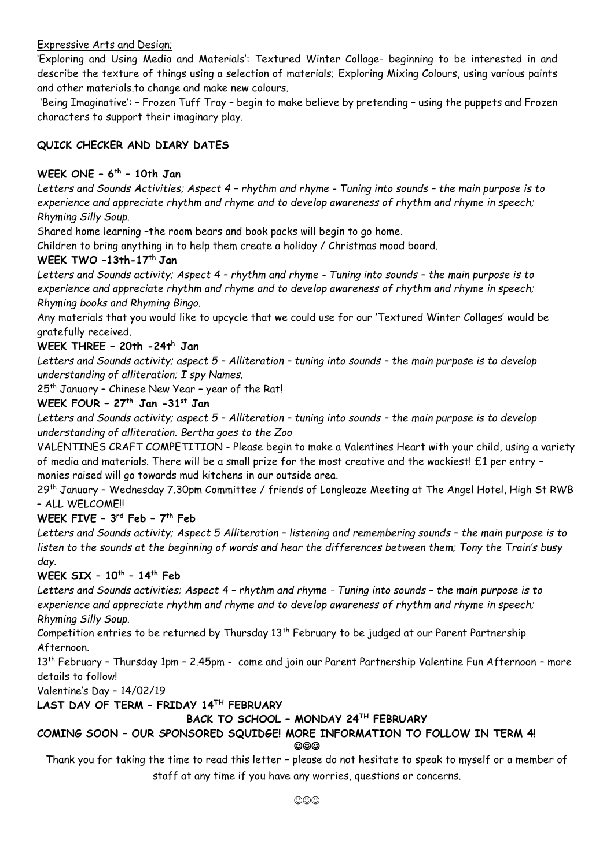## Expressive Arts and Design;

'Exploring and Using Media and Materials': Textured Winter Collage- beginning to be interested in and describe the texture of things using a selection of materials; Exploring Mixing Colours, using various paints and other materials.to change and make new colours.

'Being Imaginative': – Frozen Tuff Tray – begin to make believe by pretending – using the puppets and Frozen characters to support their imaginary play.

## **QUICK CHECKER AND DIARY DATES**

#### **WEEK ONE – 6 th – 10th Jan**

*Letters and Sounds Activities; Aspect 4 – rhythm and rhyme - Tuning into sounds – the main purpose is to experience and appreciate rhythm and rhyme and to develop awareness of rhythm and rhyme in speech; Rhyming Silly Soup.* 

Shared home learning –the room bears and book packs will begin to go home.

Children to bring anything in to help them create a holiday / Christmas mood board.

## **WEEK TWO –13th-17th Jan**

*Letters and Sounds activity; Aspect 4 – rhythm and rhyme - Tuning into sounds – the main purpose is to experience and appreciate rhythm and rhyme and to develop awareness of rhythm and rhyme in speech; Rhyming books and Rhyming Bingo.*

Any materials that you would like to upcycle that we could use for our 'Textured Winter Collages' would be gratefully received.

## **WEEK THREE – 20th -24t<sup>h</sup>Jan**

*Letters and Sounds activity; aspect 5 – Alliteration – tuning into sounds – the main purpose is to develop understanding of alliteration; I spy Names.*

25<sup>th</sup> January - Chinese New Year - year of the Rat!

## **WEEK FOUR – 27th Jan -31st Jan**

*Letters and Sounds activity; aspect 5 – Alliteration – tuning into sounds – the main purpose is to develop understanding of alliteration. Bertha goes to the Zoo*

VALENTINES CRAFT COMPETITION - Please begin to make a Valentines Heart with your child, using a variety of media and materials. There will be a small prize for the most creative and the wackiest! £1 per entry – monies raised will go towards mud kitchens in our outside area.

29th January – Wednesday 7.30pm Committee / friends of Longleaze Meeting at The Angel Hotel, High St RWB – ALL WELCOME!!

#### **WEEK FIVE – 3 rd Feb – 7 th Feb**

*Letters and Sounds activity; Aspect 5 Alliteration – listening and remembering sounds – the main purpose is to listen to the sounds at the beginning of words and hear the differences between them; Tony the Train's busy day.*

## **WEEK SIX – 10th – 14th Feb**

*Letters and Sounds activities; Aspect 4 – rhythm and rhyme - Tuning into sounds – the main purpose is to experience and appreciate rhythm and rhyme and to develop awareness of rhythm and rhyme in speech; Rhyming Silly Soup.*

Competition entries to be returned by Thursday  $13<sup>th</sup>$  February to be judged at our Parent Partnership Afternoon.

13<sup>th</sup> February - Thursday 1pm - 2.45pm - come and join our Parent Partnership Valentine Fun Afternoon - more details to follow!

Valentine's Day – 14/02/19

**LAST DAY OF TERM – FRIDAY 14TH FEBRUARY**

#### **BACK TO SCHOOL – MONDAY 24TH FEBRUARY**

#### **COMING SOON – OUR SPONSORED SQUIDGE! MORE INFORMATION TO FOLLOW IN TERM 4!**  ☺☺☺

Thank you for taking the time to read this letter – please do not hesitate to speak to myself or a member of staff at any time if you have any worries, questions or concerns.